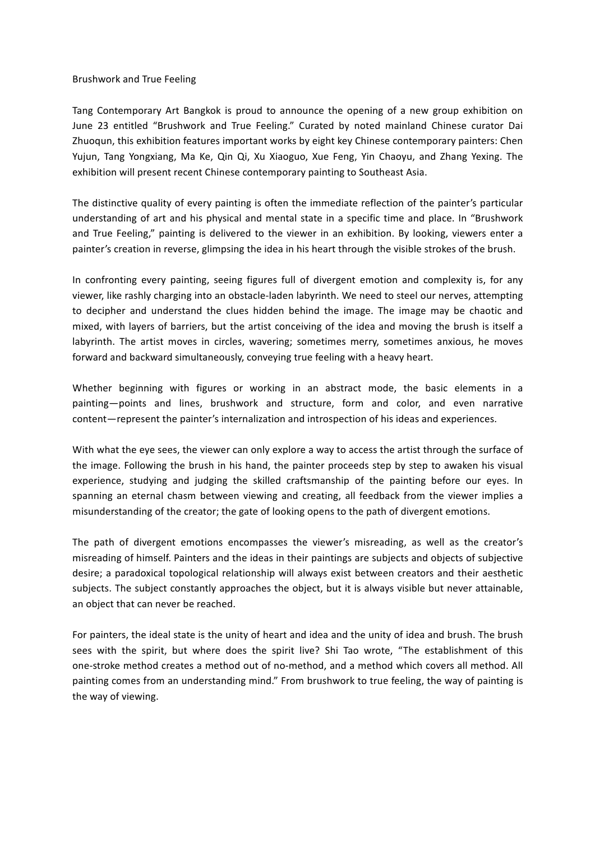## Brushwork and True Feeling

Tang Contemporary Art Bangkok is proud to announce the opening of a new group exhibition on June 23 entitled "Brushwork and True Feeling." Curated by noted mainland Chinese curator Dai Zhuoqun, this exhibition features important works by eight key Chinese contemporary painters: Chen Yujun, Tang Yongxiang, Ma Ke, Qin Qi, Xu Xiaoguo, Xue Feng, Yin Chaoyu, and Zhang Yexing. The exhibition will present recent Chinese contemporary painting to Southeast Asia.

The distinctive quality of every painting is often the immediate reflection of the painter's particular understanding of art and his physical and mental state in a specific time and place. In "Brushwork and True Feeling," painting is delivered to the viewer in an exhibition. By looking, viewers enter a painter's creation in reverse, glimpsing the idea in his heart through the visible strokes of the brush.

In confronting every painting, seeing figures full of divergent emotion and complexity is, for any viewer, like rashly charging into an obstacle-laden labyrinth. We need to steel our nerves, attempting to decipher and understand the clues hidden behind the image. The image may be chaotic and mixed, with layers of barriers, but the artist conceiving of the idea and moving the brush is itself a labyrinth. The artist moves in circles, wavering; sometimes merry, sometimes anxious, he moves forward and backward simultaneously, conveying true feeling with a heavy heart.

Whether beginning with figures or working in an abstract mode, the basic elements in a painting—points and lines, brushwork and structure, form and color, and even narrative content—represent the painter's internalization and introspection of his ideas and experiences.

With what the eye sees, the viewer can only explore a way to access the artist through the surface of the image. Following the brush in his hand, the painter proceeds step by step to awaken his visual experience, studying and judging the skilled craftsmanship of the painting before our eyes. In spanning an eternal chasm between viewing and creating, all feedback from the viewer implies a misunderstanding of the creator; the gate of looking opens to the path of divergent emotions.

The path of divergent emotions encompasses the viewer's misreading, as well as the creator's misreading of himself. Painters and the ideas in their paintings are subjects and objects of subjective desire; a paradoxical topological relationship will always exist between creators and their aesthetic subjects. The subject constantly approaches the object, but it is always visible but never attainable, an object that can never be reached.

For painters, the ideal state is the unity of heart and idea and the unity of idea and brush. The brush sees with the spirit, but where does the spirit live? Shi Tao wrote, "The establishment of this one-stroke method creates a method out of no-method, and a method which covers all method. All painting comes from an understanding mind." From brushwork to true feeling, the way of painting is the way of viewing.